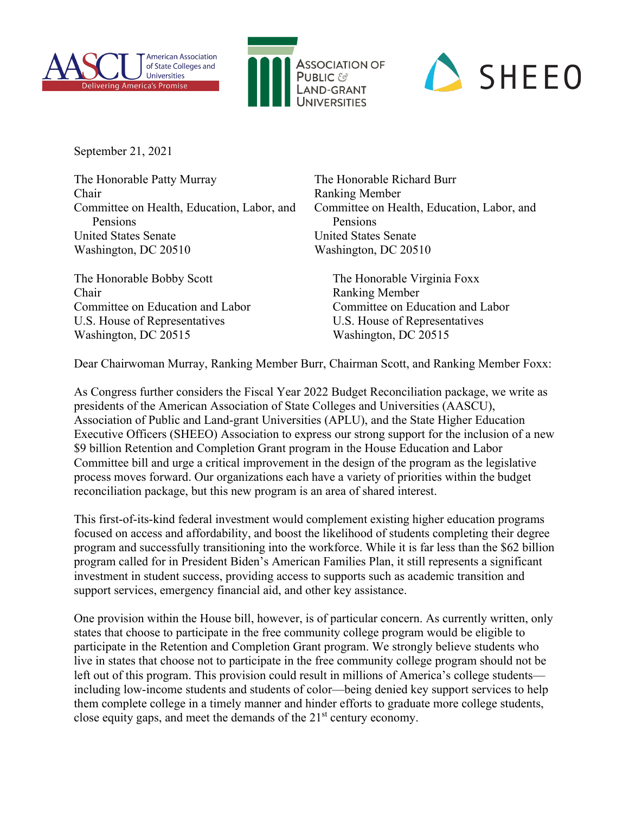



## SHEEO

September 21, 2021

The Honorable Patty Murray The Honorable Richard Burr Chair Ranking Member Committee on Health, Education, Labor, and Committee on Health, Education, Labor, and Pensions Pensions United States Senate United States Senate Washington, DC 20510 Washington, DC 20510

The Honorable Bobby Scott The Honorable Virginia Foxx Chair Ranking Member Committee on Education and Labor Committee on Education and Labor U.S. House of Representatives U.S. House of Representatives Washington, DC 20515 Washington, DC 20515

Dear Chairwoman Murray, Ranking Member Burr, Chairman Scott, and Ranking Member Foxx:

As Congress further considers the Fiscal Year 2022 Budget Reconciliation package, we write as presidents of the American Association of State Colleges and Universities (AASCU), Association of Public and Land-grant Universities (APLU), and the State Higher Education Executive Officers (SHEEO) Association to express our strong support for the inclusion of a new \$9 billion Retention and Completion Grant program in the House Education and Labor Committee bill and urge a critical improvement in the design of the program as the legislative process moves forward. Our organizations each have a variety of priorities within the budget reconciliation package, but this new program is an area of shared interest.

This first-of-its-kind federal investment would complement existing higher education programs focused on access and affordability, and boost the likelihood of students completing their degree program and successfully transitioning into the workforce. While it is far less than the \$62 billion program called for in President Biden's American Families Plan, it still represents a significant investment in student success, providing access to supports such as academic transition and support services, emergency financial aid, and other key assistance.

One provision within the House bill, however, is of particular concern. As currently written, only states that choose to participate in the free community college program would be eligible to participate in the Retention and Completion Grant program. We strongly believe students who live in states that choose not to participate in the free community college program should not be left out of this program. This provision could result in millions of America's college students including low-income students and students of color—being denied key support services to help them complete college in a timely manner and hinder efforts to graduate more college students, close equity gaps, and meet the demands of the 21<sup>st</sup> century economy.